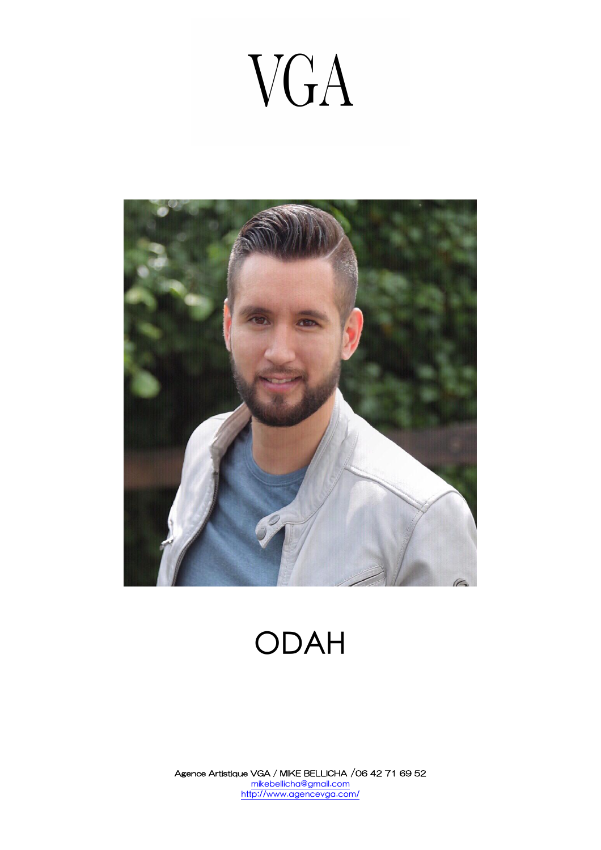# VGA



# ODAH

Agence Artistique VGA / MIKE BELLICHA /06 42 71 69 52 mikebellicha@gmail.com http://www.agencevga.com/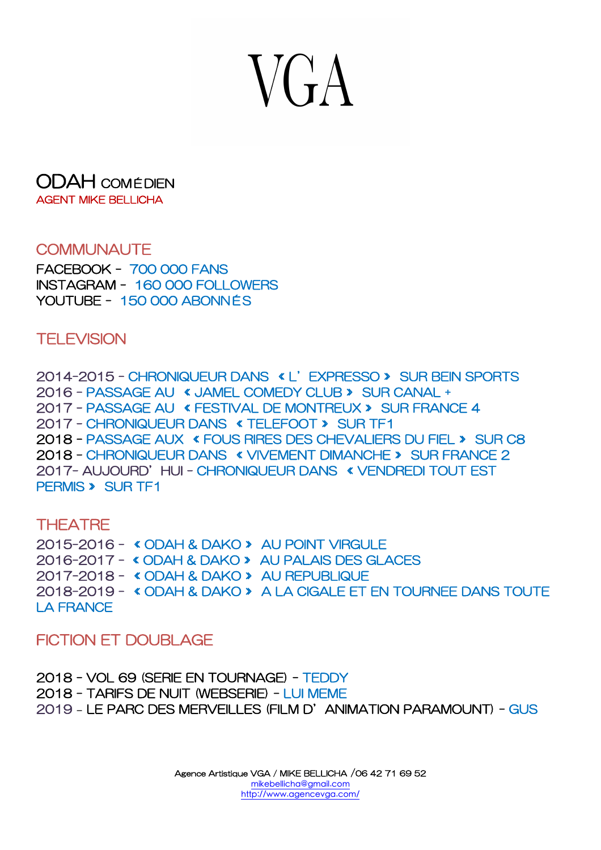# $VCA$

#### ODAH COMÉDIEN AGENT MIKE BELLICHA

### COMMUNAUTE

FACEBOOK - 700 000 FANS INSTAGRAM - 160 000 FOLLOWERS YOUTUBE - 150 000 ABONNÉS

**TELEVISION** 

2014-2015 - CHRONIQUEUR DANS « L'EXPRESSO » SUR BEIN SPORTS 2016 - PASSAGE AU « JAMEL COMEDY CLUB » SUR CANAL + 2017 - PASSAGE AU « FESTIVAL DE MONTREUX » SUR FRANCE 4 2017 - CHRONIQUEUR DANS « TELEFOOT » SUR TF1 2018 - PASSAGE AUX « FOUS RIRES DES CHEVALIERS DU FIEL » SUR C8 2018 - CHRONIQUEUR DANS « VIVEMENT DIMANCHE » SUR FRANCE 2 2017- AUJOURD'HUI - CHRONIQUEUR DANS « VENDREDI TOUT EST PERMIS » SUR TF1

## **THEATRE**

2015-2016 - « ODAH & DAKO » AU POINT VIRGULE 2016-2017 - « ODAH & DAKO » AU PALAIS DES GLACES 2017-2018 - « ODAH & DAKO » AU REPUBLIQUE 2018-2019 - « ODAH & DAKO » A LA CIGALE ET EN TOURNEE DANS TOUTE LA FRANCE

### FICTION FT DOUBLAGE

2018 - VOL 69 (SERIE EN TOURNAGE) - TEDDY 2018 - TARIFS DE NUIT (WEBSERIE) - LUI MEME 2019 **–** LE PARC DES MERVEILLES (FILM D'ANIMATION PARAMOUNT) - GUS